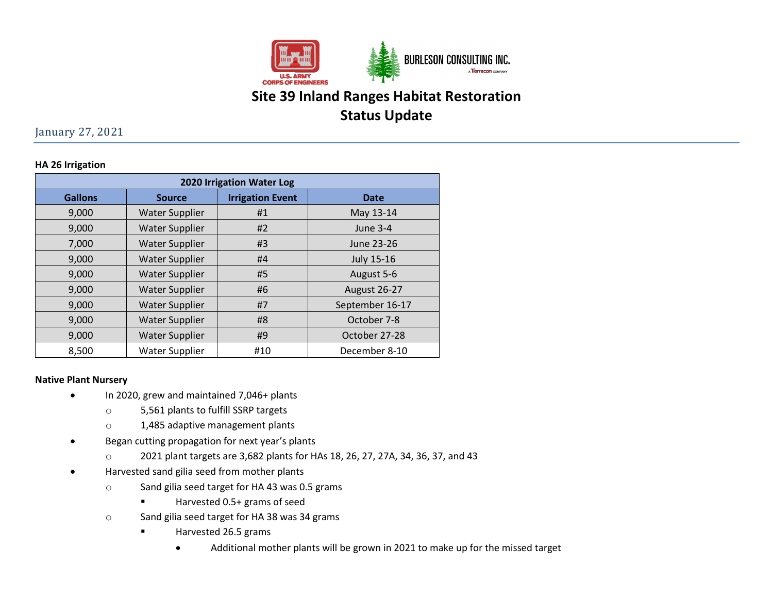

# **Site 39 Inland Ranges Habitat Restoration Status Update**

January 27, 2021

### **HA 26 Irrigation**

| 2020 Irrigation Water Log |                       |                         |                     |
|---------------------------|-----------------------|-------------------------|---------------------|
| <b>Gallons</b>            | <b>Source</b>         | <b>Irrigation Event</b> | <b>Date</b>         |
| 9,000                     | <b>Water Supplier</b> | #1                      | May 13-14           |
| 9,000                     | <b>Water Supplier</b> | #2                      | June 3-4            |
| 7,000                     | <b>Water Supplier</b> | #3                      | June 23-26          |
| 9,000                     | <b>Water Supplier</b> | #4                      | July 15-16          |
| 9,000                     | <b>Water Supplier</b> | #5                      | August 5-6          |
| 9,000                     | <b>Water Supplier</b> | #6                      | <b>August 26-27</b> |
| 9,000                     | <b>Water Supplier</b> | #7                      | September 16-17     |
| 9,000                     | <b>Water Supplier</b> | #8                      | October 7-8         |
| 9,000                     | <b>Water Supplier</b> | #9                      | October 27-28       |
| 8,500                     | Water Supplier        | #10                     | December 8-10       |

#### **Native Plant Nursery**

- In 2020, grew and maintained 7,046+ plants
	- o 5,561 plants to fulfill SSRP targets
	- o 1,485 adaptive management plants
- Began cutting propagation for next year's plants
	- o 2021 plant targets are 3,682 plants for HAs 18, 26, 27, 27A, 34, 36, 37, and 43
- Harvested sand gilia seed from mother plants
	- o Sand gilia seed target for HA 43 was 0.5 grams
		- Harvested 0.5+ grams of seed
	- o Sand gilia seed target for HA 38 was 34 grams
		- **Harvested 26.5 grams** 
			- Additional mother plants will be grown in 2021 to make up for the missed target